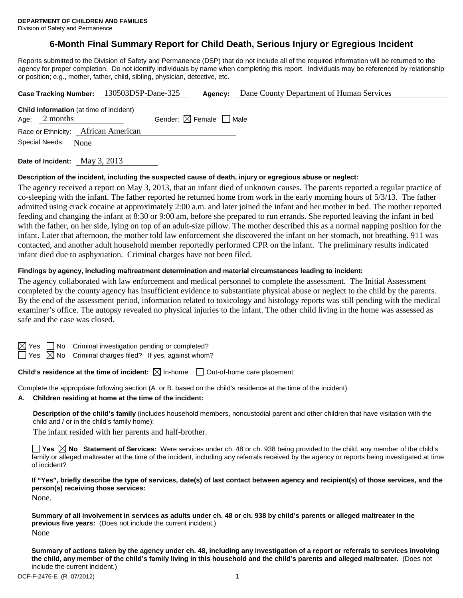Division of Safety and Permanence

# **6-Month Final Summary Report for Child Death, Serious Injury or Egregious Incident**

Reports submitted to the Division of Safety and Permanence (DSP) that do not include all of the required information will be returned to the agency for proper completion. Do not identify individuals by name when completing this report. Individuals may be referenced by relationship or position; e.g., mother, father, child, sibling, physician, detective, etc.

|                                                                   | Case Tracking Number: 130503DSP-Dane-325 | Agency:                                | Dane County Department of Human Services |
|-------------------------------------------------------------------|------------------------------------------|----------------------------------------|------------------------------------------|
| <b>Child Information</b> (at time of incident)<br>Age: $2$ months |                                          | Gender: $\boxtimes$ Female $\Box$ Male |                                          |
| Race or Ethnicity: African American                               |                                          |                                        |                                          |
| Special Needs:<br>None                                            |                                          |                                        |                                          |
|                                                                   |                                          |                                        |                                          |

**Date of Incident:** May 3, 2013

#### **Description of the incident, including the suspected cause of death, injury or egregious abuse or neglect:**

The agency received a report on May 3, 2013, that an infant died of unknown causes. The parents reported a regular practice of co-sleeping with the infant. The father reported he returned home from work in the early morning hours of 5/3/13. The father admitted using crack cocaine at approximately 2:00 a.m. and later joined the infant and her mother in bed. The mother reported feeding and changing the infant at 8:30 or 9:00 am, before she prepared to run errands. She reported leaving the infant in bed with the father, on her side, lying on top of an adult-size pillow. The mother described this as a normal napping position for the infant. Later that afternoon, the mother told law enforcement she discovered the infant on her stomach, not breathing. 911 was contacted, and another adult household member reportedly performed CPR on the infant. The preliminary results indicated infant died due to asphyxiation. Criminal charges have not been filed.

#### **Findings by agency, including maltreatment determination and material circumstances leading to incident:**

The agency collaborated with law enforcement and medical personnel to complete the assessment. The Initial Assessment completed by the county agency has insufficient evidence to substantiate physical abuse or neglect to the child by the parents. By the end of the assessment period, information related to toxicology and histology reports was still pending with the medical examiner's office. The autopsy revealed no physical injuries to the infant. The other child living in the home was assessed as safe and the case was closed.

 $\mathbf{S}$  No Criminal investigation pending or completed?

 $\Box$  Yes  $\boxtimes$  No Criminal charges filed? If yes, against whom?

## **Child's residence at the time of incident:**  $\boxtimes$  In-home  $\Box$  Out-of-home care placement

Complete the appropriate following section (A. or B. based on the child's residence at the time of the incident).

**A. Children residing at home at the time of the incident:**

**Description of the child's family** (includes household members, noncustodial parent and other children that have visitation with the child and / or in the child's family home):

The infant resided with her parents and half-brother.

**Yes No Statement of Services:** Were services under ch. 48 or ch. 938 being provided to the child, any member of the child's family or alleged maltreater at the time of the incident, including any referrals received by the agency or reports being investigated at time of incident?

**If "Yes", briefly describe the type of services, date(s) of last contact between agency and recipient(s) of those services, and the person(s) receiving those services:**

None.

**Summary of all involvement in services as adults under ch. 48 or ch. 938 by child's parents or alleged maltreater in the previous five years:** (Does not include the current incident.) None

**Summary of actions taken by the agency under ch. 48, including any investigation of a report or referrals to services involving the child, any member of the child's family living in this household and the child's parents and alleged maltreater.** (Does not include the current incident.)